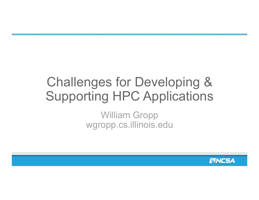#### Challenges for Developing & Supporting HPC Applications

William Gropp wgropp.cs.illinois.edu

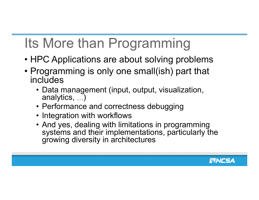## Its More than Programming

- HPC Applications are about solving problems
- Programming is only one small(ish) part that includes
	- Data management (input, output, visualization, analytics, …)
	- Performance and correctness debugging
	- Integration with workflows
	- And yes, dealing with limitations in programming systems and their implementations, particularly the growing diversity in architectures

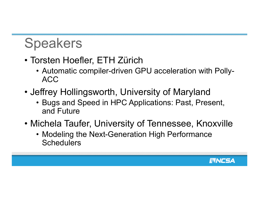### Speakers

- Torsten Hoefler, ETH Zürich
	- Automatic compiler-driven GPU acceleration with Polly-ACC
- Jeffrey Hollingsworth, University of Maryland
	- Bugs and Speed in HPC Applications: Past, Present, and Future
- Michela Taufer, University of Tennessee, Knoxville
	- Modeling the Next-Generation High Performance **Schedulers**

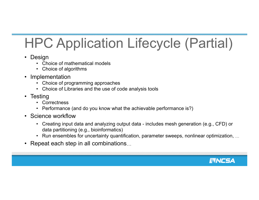# HPC Application Lifecycle (Partial)

- 
- Design Choice of mathematical models
	- Choice of algorithms
- 
- Implementation<br>• Choice of programming approaches
	- Choice of Libraries and the use of code analysis tools
- 
- Testing Correctness
	- Performance (and do you know what the achievable performance is?)
- Science workflow
	- Creating input data and analyzing output data includes mesh generation (e.g., CFD) or data partitioning (e.g., bioinformatics)
	- Run ensembles for uncertainty quantification, parameter sweeps, nonlinear optimization, …
- Repeat each step in all combinations…

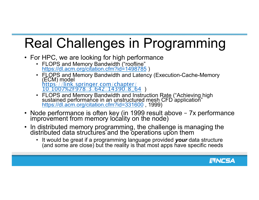## Real Challenges in Programming

- For HPC, we are looking for high performance
	- FLOPS and Memory Bandwidth ("roofline" https://dl.acm.org/citation.cfm?id=1498785 )
	- FLOPS and Memory Bandwidth and Latency (Execution-Cache-Memory (ECM) model https://link.springer.com/chapter/ 10.1007%2F978-3-642-14390-8\_64 )
	- FLOPS and Memory Bandwidth and Instruction Rate ("Achieving high sustained performance in an unstructured mesh CFD application" https://dl.acm.org/citation.cfm?id=331600 , 1999)
- Node performance is often key (in 1999 result above 7x performance improvement from memory locality on the node)
- In distributed memory programming, the challenge is managing the distributed data structures and the operations upon them
	- It would be great if a programming language provided *your* data structure (and some are close) but the reality is that most apps have specific needs

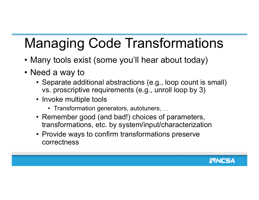## Managing Code Transformations

- Many tools exist (some you'll hear about today)
- Need a way to
	- Separate additional abstractions (e.g., loop count is small) vs. proscriptive requirements (e.g., unroll loop by 3)
	- Invoke multiple tools
		- Transformation generators, autotuners, …
	- Remember good (and bad!) choices of parameters, transformations, etc. by system/input/characterization
	- Provide ways to confirm transformations preserve correctness

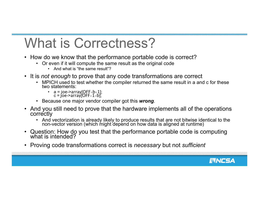### What is Correctness?

- How do we know that the performance portable code is correct?<br>• Or even if it will compute the same result as the original code
	- - And what is "the same result"?
- It is *not enough* to prove that any code transformations are correct<br>• MPICH used to test whether the compiler returned the same result in a and c for these
	- two statements:
		- $a = joe$ ->array[OFF+b+1];  $c = j$ oe->arraý[OFF $+1+$ b];
	- Because one major vendor compiler got this *wrong*.
- And you still need to prove that the hardware implements all of the operations
	- And vectorization is already likely to produce results that are not bitwise identical to the non-vector version (which might depend on how data is aligned at runtime)
- Question: How do you test that the performance portable code is computing what is intended?
- Proving code transformations correct is *necessary* but not *sufficient*

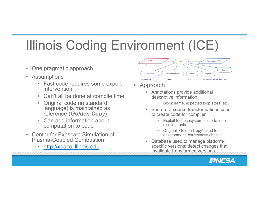## Illinois Coding Environment (ICE)

- One pragmatic approach
- Assumptions
	- Fast code requires some expert intervention
	- Can't all be done at compile time
	- Original code (in standard language) is maintained as reference (*Golden Copy*)
	- Can add information about computation to code
- Center for Exascale Simulation of Plasma-Coupled Combustion
	- http://xpacc.illinois.edu



- Approach
	- Annotations provide additional descriptive information
		- Block name, expected loop sizes, etc.
	- Source-to-source transformations used to create code for compiler
		- Exploit tool ecosystem interface to existing tools
		- Original "Golden Copy" used for development, correctness checks
	- Database used to manage platformspecific versions; detect changes that invalidate transformed versions

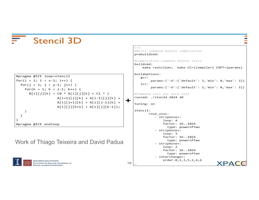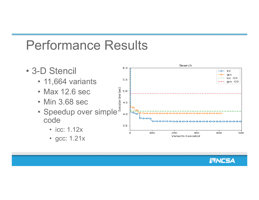#### Performance Results

Search • 3-D Stencil 6.0 icc -0gcc icc -O3 • 11,664 variants  $5.5$  $qcc - O3$ • Max 12.6 sec<br>• Min 3.68 sec<br>• Speedup over simple • Max 12.6 sec • Min 3.68 sec  $4.0$ code ⊙⊖€  $\bullet$  $\bullet$  $\bullet$  $3.5$ • icc: 1.12x O 100 200 300 400 500 **Variants Executed** • gcc: 1.21x